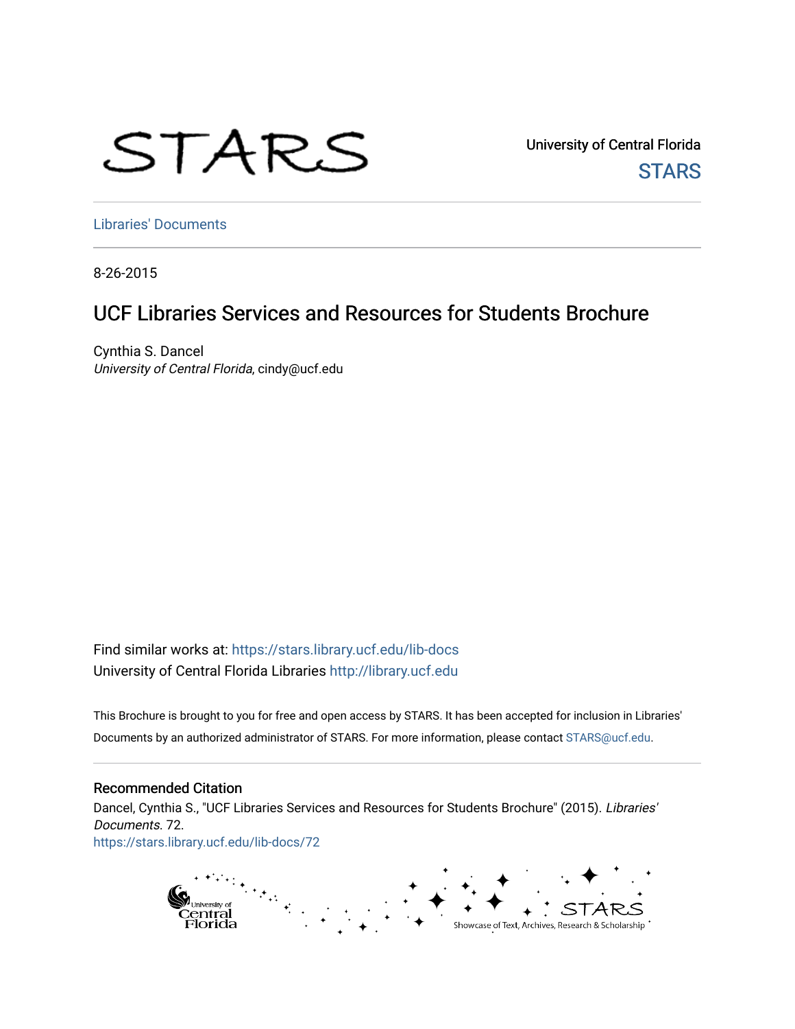# STARS

University of Central Florida **STARS** 

[Libraries' Documents](https://stars.library.ucf.edu/lib-docs) 

8-26-2015

### UCF Libraries Services and Resources for Students Brochure

Cynthia S. Dancel University of Central Florida, cindy@ucf.edu

Find similar works at: <https://stars.library.ucf.edu/lib-docs> University of Central Florida Libraries [http://library.ucf.edu](http://library.ucf.edu/) 

This Brochure is brought to you for free and open access by STARS. It has been accepted for inclusion in Libraries' Documents by an authorized administrator of STARS. For more information, please contact [STARS@ucf.edu](mailto:STARS@ucf.edu).

### Recommended Citation

Dancel, Cynthia S., "UCF Libraries Services and Resources for Students Brochure" (2015). Libraries' Documents. 72. [https://stars.library.ucf.edu/lib-docs/72](https://stars.library.ucf.edu/lib-docs/72?utm_source=stars.library.ucf.edu%2Flib-docs%2F72&utm_medium=PDF&utm_campaign=PDFCoverPages) 

> $\mathcal{F}_{\mu\nu}$ pi<sub>University of</sub><br>Central<br>Florida Showcase of Text, Archives, Research & Scholarship \*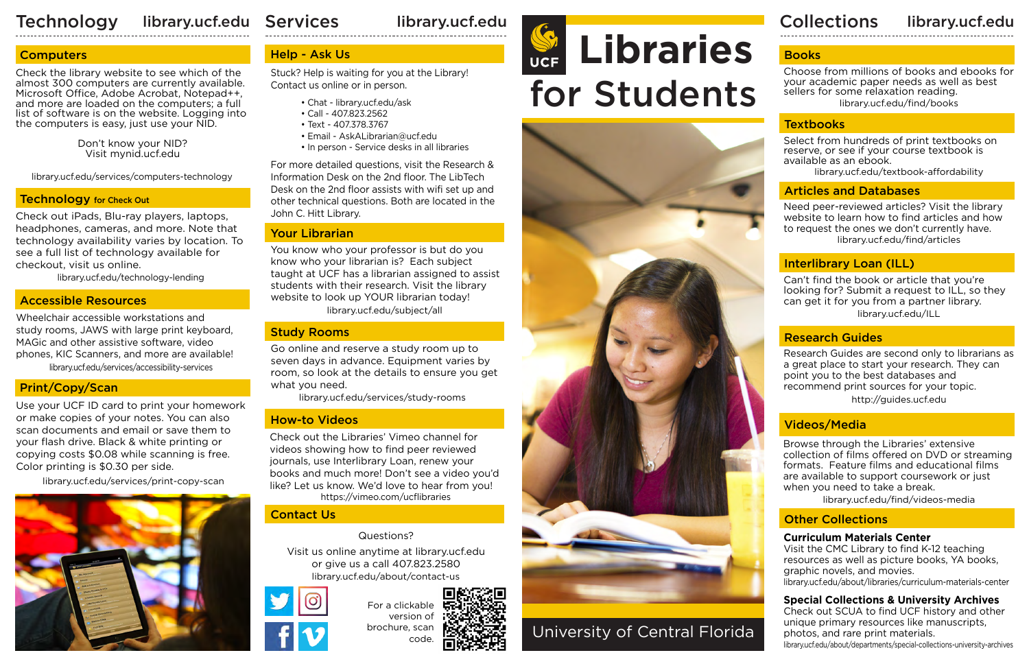### Technology library.ucf.edu Services library.ucf.edu de la collections

library.ucf.edu

### **Computers**

library.ucf.edu/services/computers-technology

### **Technology** for Check Out



University of Central Florida

### Accessible Resources

For a clickable version of brochure, scan code

library.ucf.edu/services/accessibility-services Wheelchair accessible workstations and study rooms, JAWS with large print keyboard, MAGic and other assistive software, video phones, KIC Scanners, and more are available!

### Articles and Databases

### Interlibrary Loan (ILL)

### Books

Need peer-reviewed articles? Visit the library website to learn how to find articles and how to request the ones we don't currently have. library.ucf.edu/find/articles

Choose from millions of books and ebooks for your academic paper needs as well as best sellers for some relaxation reading. library.ucf.edu/find/books

### **Textbooks**

library.ucf.edu/textbook-affordability

Select from hundreds of print textbooks on reserve, or see if your course textbook is available as an ebook.

### Print/Copy/Scan

library.ucf.edu/services/print-copy-scan



Use your UCF ID card to print your homework or make copies of your notes. You can also scan documents and email or save them to your flash drive. Black & white printing or copying costs \$0.08 while scanning is free. Color printing is \$0.30 per side.

library.ucf.edu/services/study-rooms

library.ucf.edu/technology-lending

http://guides.ucf.edu Research Guides are second only to librarians as a great place to start your research. They can point you to the best databases and recommend print sources for your topic.

Check out iPads, Blu-ray players, laptops, headphones, cameras, and more. Note that technology availability varies by location. To see a full list of technology available for checkout, visit us online.

> library.ucf.edu/about/contact-us Visit us online anytime at library.ucf.edu or give us a call 407.823.2580



Check the library website to see which of the almost 300 computers are currently available. Microsoft Office, Adobe Acrobat, Notepad++, and more are loaded on the computers; a full list of software is on the website. Logging into the computers is easy, just use your NID.

> library.ucf.edu/ILL Can't find the book or article that you're looking for? Submit a request to ILL, so they

Don't know your NID? Visit mynid.ucf.edu

### Research Guides

### Other Collections

### **Curriculum Materials Center**

Visit the CMC Library to find K-12 teaching resources as well as picture books, YA books, graphic novels, and movies. library.ucf.edu/about/libraries/curriculum-materials-center

### **Special Collections & University Archives**

Check out SCUA to find UCF history and other unique primary resources like manuscripts, photos, and rare print materials. library.ucf.edu/about/departments/special-collections-university-archives



### Contact Us

### Study Rooms

Go online and reserve a study room up to seven days in advance. Equipment varies by room, so look at the details to ensure you get what you need.

Questions?

### Help - Ask Us

Stuck? Help is waiting for you at the Library! Contact us online or in person.

- Chat library.ucf.edu/ask
- Call 407.823.2562
- Text 407.378.3767
- Email AskALibrarian@ucf.edu
- In person Service desks in all libraries

https://vimeo.com/ucflibraries Check out the Libraries' Vimeo channel for videos showing how to find peer reviewed journals, use Interlibrary Loan, renew your books and much more! Don't see a video you'd like? Let us know. We'd love to hear from you!

For more detailed questions, visit the Research & Information Desk on the 2nd floor. The LibTech Desk on the 2nd floor assists with wifi set up and other technical questions. Both are located in the John C. Hitt Library.

### Your Librarian

You know who your professor is but do you know who your librarian is? Each subject taught at UCF has a librarian assigned to assist students with their research. Visit the library website to look up YOUR librarian today!

### How-to Videos

### Videos/Media

Browse through the Libraries' extensive collection of films offered on DVD or streaming formats. Feature films and educational films are available to support coursework or just when you need to take a break.

library.ucf.edu/find/videos-media